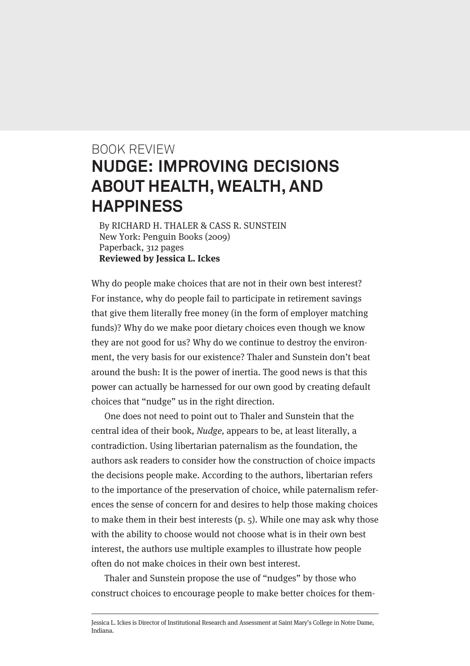## BOOK REVIEW **NUDGE: IMPROVING DECISIONS ABOUT HEALTH, WEALTH, AND HAPPINESS**

By RICHARD H. THALER & CASS R. SUNSTEIN New York: Penguin Books (2009) Paperback, 312 pages **Reviewed by Jessica L. Ickes**

Why do people make choices that are not in their own best interest? For instance, why do people fail to participate in retirement savings that give them literally free money (in the form of employer matching funds)? Why do we make poor dietary choices even though we know they are not good for us? Why do we continue to destroy the environment, the very basis for our existence? Thaler and Sunstein don't beat around the bush: It is the power of inertia. The good news is that this power can actually be harnessed for our own good by creating default choices that "nudge" us in the right direction.

One does not need to point out to Thaler and Sunstein that the central idea of their book, Nudge, appears to be, at least literally, a contradiction. Using libertarian paternalism as the foundation, the authors ask readers to consider how the construction of choice impacts the decisions people make. According to the authors, libertarian refers to the importance of the preservation of choice, while paternalism references the sense of concern for and desires to help those making choices to make them in their best interests (p. 5). While one may ask why those with the ability to choose would not choose what is in their own best interest, the authors use multiple examples to illustrate how people often do not make choices in their own best interest.

Thaler and Sunstein propose the use of "nudges" by those who construct choices to encourage people to make better choices for them-

Jessica L. Ickes is Director of Institutional Research and Assessment at Saint Mary's College in Notre Dame, Indiana.